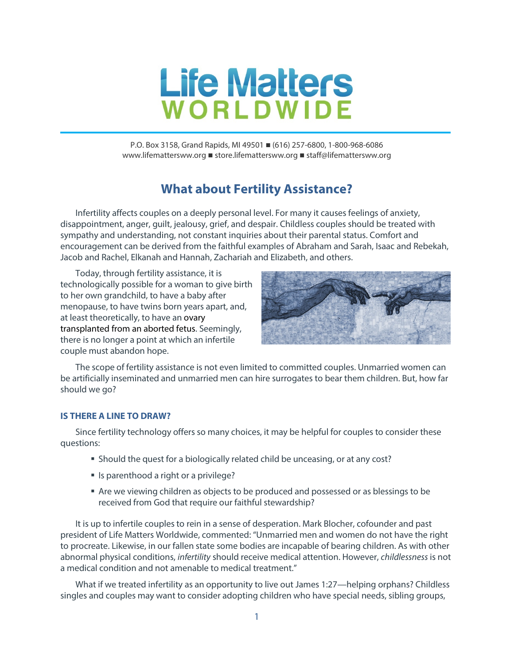

P.O. Box 3158, Grand Rapids, MI 49501 ■ (616) 257-6800, 1-800-968-6086 www.lifemattersww.org ■ store.lifemattersww.org ■ staff@lifemattersww.org

# **What about Fertility Assistance?**

Infertility affects couples on a deeply personal level. For many it causes feelings of anxiety, disappointment, anger, guilt, jealousy, grief, and despair. Childless couples should be treated with sympathy and understanding, not constant inquiries about their parental status. Comfort and encouragement can be derived from the faithful examples of Abraham and Sarah, Isaac and Rebekah, Jacob and Rachel, Elkanah and Hannah, Zachariah and Elizabeth, and others.

Today, through fertility assistance, it is technologically possible for a woman to give birth to her own grandchild, to have a baby after menopause, to have twins born years apart, and, at least theoretically, to have an ovary transplanted from an aborted fetus. Seemingly, there is no longer a point at which an infertile couple must abandon hope.



The scope of fertility assistance is not even limited to committed couples. Unmarried women can be artificially inseminated and unmarried men can hire surrogates to bear them children. But, how far should we go?

### **IS THERE A LINE TO DRAW?**

Since fertility technology offers so many choices, it may be helpful for couples to consider these questions:

- Should the quest for a biologically related child be unceasing, or at any cost?
- **If** Is parenthood a right or a privilege?
- Are we viewing children as objects to be produced and possessed or as blessings to be received from God that require our faithful stewardship?

It is up to infertile couples to rein in a sense of desperation. Mark Blocher, cofounder and past president of Life Matters Worldwide, commented: "Unmarried men and women do not have the right to procreate. Likewise, in our fallen state some bodies are incapable of bearing children. As with other abnormal physical conditions, *infertility* should receive medical attention. However, *childlessness* is not a medical condition and not amenable to medical treatment."

What if we treated infertility as an opportunity to live out James 1:27—helping orphans? Childless singles and couples may want to consider adopting children who have special needs, sibling groups,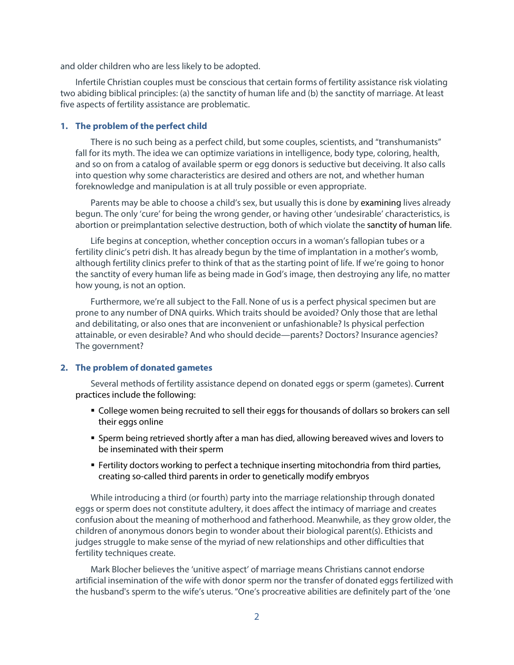and older children who are less likely to be adopted.

Infertile Christian couples must be conscious that certain forms of fertility assistance risk violating two abiding biblical principles: (a) the sanctity of human life and (b) the sanctity of marriage. At least five aspects of fertility assistance are problematic.

#### **1. The problem of the perfect child**

There is no such being as a perfect child, but some couples, scientists, and "transhumanists" fall for its myth. The idea we can optimize variations in intelligence, body type, coloring, health, and so on from a catalog of available sperm or egg donors is seductive but deceiving. It also calls into question why some characteristics are desired and others are not, and whether human foreknowledge and manipulation is at all truly possible or even appropriate.

Parents may be able to choose a child's sex, but usually this is done by examining lives already begun. The only 'cure' for being the wrong gender, or having other 'undesirable' characteristics, is abortion or preimplantation selective destruction, both of which violate the sanctity of human life.

Life begins at conception, whether conception occurs in a woman's fallopian tubes or a fertility clinic's petri dish. It has already begun by the time of implantation in a mother's womb, although fertility clinics prefer to think of that as the starting point of life. If we're going to honor the sanctity of every human life as being made in God's image, then destroying any life, no matter how young, is not an option.

Furthermore, we're all subject to the Fall. None of us is a perfect physical specimen but are prone to any number of DNA quirks. Which traits should be avoided? Only those that are lethal and debilitating, or also ones that are inconvenient or unfashionable? Is physical perfection attainable, or even desirable? And who should decide—parents? Doctors? Insurance agencies? The government?

#### **2. The problem of donated gametes**

Several methods of fertility assistance depend on donated eggs or sperm (gametes). Current practices include the following:

- College women being recruited to sell their eggs for thousands of dollars so brokers can sell their eggs online
- Sperm being retrieved shortly after a man has died, allowing bereaved wives and lovers to be inseminated with their sperm
- Fertility doctors working to perfect a technique inserting mitochondria from third parties, creating so-called third parents in order to genetically modify embryos

While introducing a third (or fourth) party into the marriage relationship through donated eggs or sperm does not constitute adultery, it does affect the intimacy of marriage and creates confusion about the meaning of motherhood and fatherhood. Meanwhile, as they grow older, the children of anonymous donors begin to wonder about their biological parent(s). Ethicists and judges struggle to make sense of the myriad of new relationships and other difficulties that fertility techniques create.

Mark Blocher believes the 'unitive aspect' of marriage means Christians cannot endorse artificial insemination of the wife with donor sperm nor the transfer of donated eggs fertilized with the husband's sperm to the wife's uterus. "One's procreative abilities are definitely part of the 'one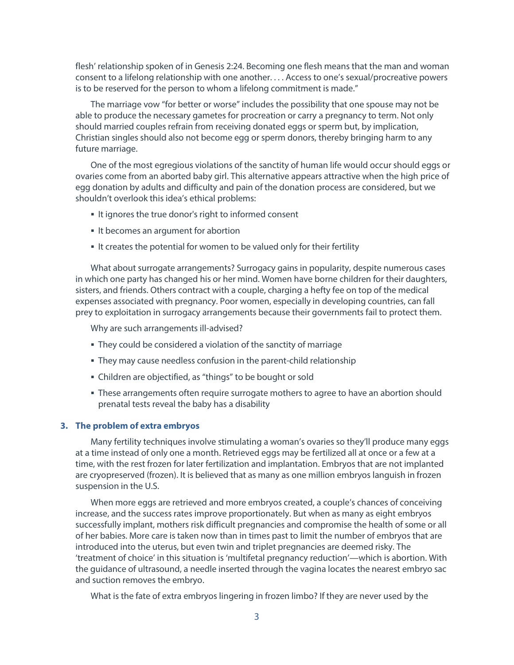flesh' relationship spoken of in Genesis 2:24. Becoming one flesh means that the man and woman consent to a lifelong relationship with one another. . . . Access to one's sexual/procreative powers is to be reserved for the person to whom a lifelong commitment is made."

The marriage vow "for better or worse" includes the possibility that one spouse may not be able to produce the necessary gametes for procreation or carry a pregnancy to term. Not only should married couples refrain from receiving donated eggs or sperm but, by implication, Christian singles should also not become egg or sperm donors, thereby bringing harm to any future marriage.

One of the most egregious violations of the sanctity of human life would occur should eggs or ovaries come from an aborted baby girl. This alternative appears attractive when the high price of egg donation by adults and difficulty and pain of the donation process are considered, but we shouldn't overlook this idea's ethical problems:

- It ignores the true donor's right to informed consent
- If becomes an argument for abortion
- If creates the potential for women to be valued only for their fertility

What about surrogate arrangements? Surrogacy gains in popularity, despite numerous cases in which one party has changed his or her mind. Women have borne children for their daughters, sisters, and friends. Others contract with a couple, charging a hefty fee on top of the medical expenses associated with pregnancy. Poor women, especially in developing countries, can fall prey to exploitation in surrogacy arrangements because their governments fail to protect them.

Why are such arrangements ill-advised?

- They could be considered a violation of the sanctity of marriage
- They may cause needless confusion in the parent-child relationship
- Children are objectified, as "things" to be bought or sold
- These arrangements often require surrogate mothers to agree to have an abortion should prenatal tests reveal the baby has a disability

#### **3. The problem of extra embryos**

Many fertility techniques involve stimulating a woman's ovaries so they'll produce many eggs at a time instead of only one a month. Retrieved eggs may be fertilized all at once or a few at a time, with the rest frozen for later fertilization and implantation. Embryos that are not implanted are cryopreserved (frozen). It is believed that as many as one million embryos languish in frozen suspension in the U.S.

When more eggs are retrieved and more embryos created, a couple's chances of conceiving increase, and the success rates improve proportionately. But when as many as eight embryos successfully implant, mothers risk difficult pregnancies and compromise the health of some or all of her babies. More care is taken now than in times past to limit the number of embryos that are introduced into the uterus, but even twin and triplet pregnancies are deemed risky. The 'treatment of choice' in this situation is 'multifetal pregnancy reduction'—which is abortion. With the guidance of ultrasound, a needle inserted through the vagina locates the nearest embryo sac and suction removes the embryo.

What is the fate of extra embryos lingering in frozen limbo? If they are never used by the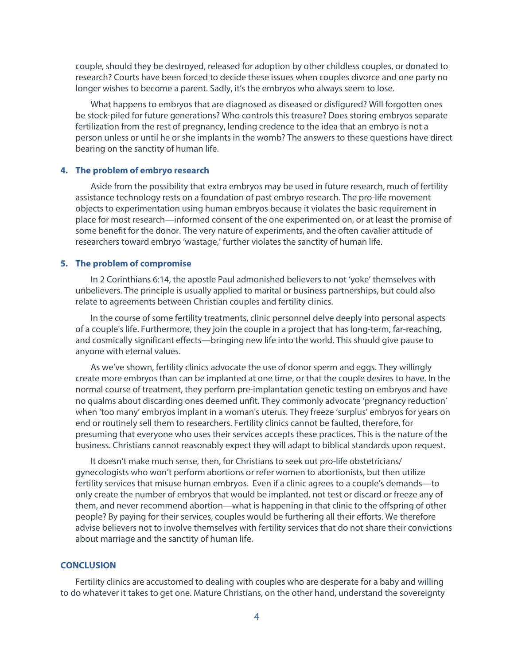couple, should they be destroyed, released for adoption by other childless couples, or donated to research? Courts have been forced to decide these issues when couples divorce and one party no longer wishes to become a parent. Sadly, it's the embryos who always seem to lose.

What happens to embryos that are diagnosed as diseased or disfigured? Will forgotten ones be stock-piled for future generations? Who controls this treasure? Does storing embryos separate fertilization from the rest of pregnancy, lending credence to the idea that an embryo is not a person unless or until he or she implants in the womb? The answers to these questions have direct bearing on the sanctity of human life.

#### **4. The problem of embryo research**

Aside from the possibility that extra embryos may be used in future research, much of fertility assistance technology rests on a foundation of past embryo research. The pro-life movement objects to experimentation using human embryos because it violates the basic requirement in place for most research—informed consent of the one experimented on, or at least the promise of some benefit for the donor. The very nature of experiments, and the often cavalier attitude of researchers toward embryo 'wastage,' further violates the sanctity of human life.

#### **5. The problem of compromise**

In 2 Corinthians 6:14, the apostle Paul admonished believers to not 'yoke' themselves with unbelievers. The principle is usually applied to marital or business partnerships, but could also relate to agreements between Christian couples and fertility clinics.

In the course of some fertility treatments, clinic personnel delve deeply into personal aspects of a couple's life. Furthermore, they join the couple in a project that has long-term, far-reaching, and cosmically significant effects—bringing new life into the world. This should give pause to anyone with eternal values.

As we've shown, fertility clinics advocate the use of donor sperm and eggs. They willingly create more embryos than can be implanted at one time, or that the couple desires to have. In the normal course of treatment, they perform pre-implantation genetic testing on embryos and have no qualms about discarding ones deemed unfit. They commonly advocate 'pregnancy reduction' when 'too many' embryos implant in a woman's uterus. They freeze 'surplus' embryos for years on end or routinely sell them to researchers. Fertility clinics cannot be faulted, therefore, for presuming that everyone who uses their services accepts these practices. This is the nature of the business. Christians cannot reasonably expect they will adapt to biblical standards upon request.

It doesn't make much sense, then, for Christians to seek out pro-life obstetricians/ gynecologists who won't perform abortions or refer women to abortionists, but then utilize fertility services that misuse human embryos. Even if a clinic agrees to a couple's demands—to only create the number of embryos that would be implanted, not test or discard or freeze any of them, and never recommend abortion—what is happening in that clinic to the offspring of other people? By paying for their services, couples would be furthering all their efforts. We therefore advise believers not to involve themselves with fertility services that do not share their convictions about marriage and the sanctity of human life.

#### **CONCLUSION**

Fertility clinics are accustomed to dealing with couples who are desperate for a baby and willing to do whatever it takes to get one. Mature Christians, on the other hand, understand the sovereignty